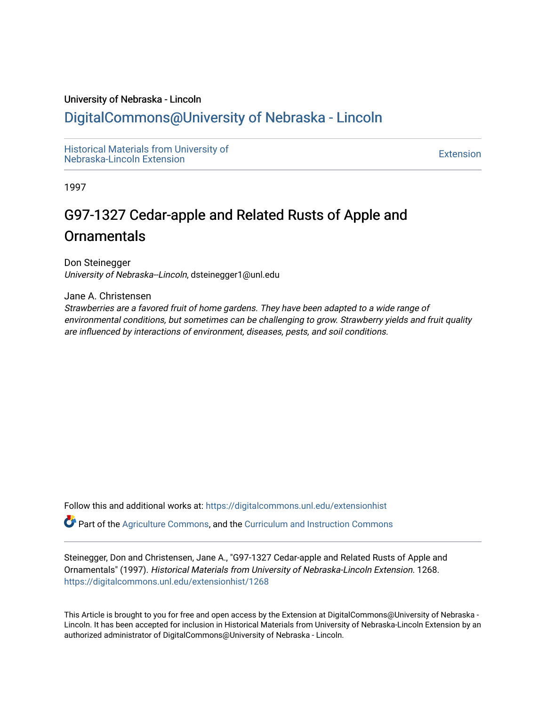#### University of Nebraska - Lincoln

## [DigitalCommons@University of Nebraska - Lincoln](https://digitalcommons.unl.edu/)

[Historical Materials from University of](https://digitalcommons.unl.edu/extensionhist)  nistorical Materials from Oniversity of the control of the control of the [Extension](https://digitalcommons.unl.edu/coop_extension) Extension extension of the<br>Nebraska-Lincoln Extension

1997

# G97-1327 Cedar-apple and Related Rusts of Apple and **Ornamentals**

Don Steinegger University of Nebraska--Lincoln, dsteinegger1@unl.edu

Jane A. Christensen

Strawberries are a favored fruit of home gardens. They have been adapted to a wide range of environmental conditions, but sometimes can be challenging to grow. Strawberry yields and fruit quality are influenced by interactions of environment, diseases, pests, and soil conditions.

Follow this and additional works at: [https://digitalcommons.unl.edu/extensionhist](https://digitalcommons.unl.edu/extensionhist?utm_source=digitalcommons.unl.edu%2Fextensionhist%2F1268&utm_medium=PDF&utm_campaign=PDFCoverPages) 

Part of the [Agriculture Commons](http://network.bepress.com/hgg/discipline/1076?utm_source=digitalcommons.unl.edu%2Fextensionhist%2F1268&utm_medium=PDF&utm_campaign=PDFCoverPages), and the [Curriculum and Instruction Commons](http://network.bepress.com/hgg/discipline/786?utm_source=digitalcommons.unl.edu%2Fextensionhist%2F1268&utm_medium=PDF&utm_campaign=PDFCoverPages) 

Steinegger, Don and Christensen, Jane A., "G97-1327 Cedar-apple and Related Rusts of Apple and Ornamentals" (1997). Historical Materials from University of Nebraska-Lincoln Extension. 1268. [https://digitalcommons.unl.edu/extensionhist/1268](https://digitalcommons.unl.edu/extensionhist/1268?utm_source=digitalcommons.unl.edu%2Fextensionhist%2F1268&utm_medium=PDF&utm_campaign=PDFCoverPages) 

This Article is brought to you for free and open access by the Extension at DigitalCommons@University of Nebraska - Lincoln. It has been accepted for inclusion in Historical Materials from University of Nebraska-Lincoln Extension by an authorized administrator of DigitalCommons@University of Nebraska - Lincoln.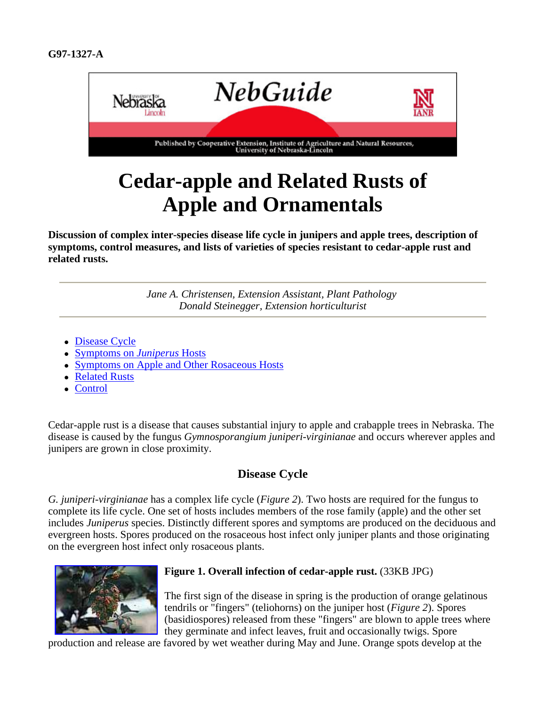

# **Cedar-apple and Related Rusts of Apple and Ornamentals**

**Discussion of complex inter-species disease life cycle in junipers and apple trees, description of symptoms, control measures, and lists of varieties of species resistant to cedar-apple rust and related rusts.**

> *Jane A. Christensen, Extension Assistant, Plant Pathology Donald Steinegger, Extension horticulturist*

- Disease Cycle
- Symptoms on *Juniperus* Hosts
- Symptoms on Apple and Other Rosaceous Hosts
- Related Rusts
- Control

Cedar-apple rust is a disease that causes substantial injury to apple and crabapple trees in Nebraska. The disease is caused by the fungus *Gymnosporangium juniperi-virginianae* and occurs wherever apples and junipers are grown in close proximity.

#### **Disease Cycle**

*G. juniperi-virginianae* has a complex life cycle (*Figure 2*). Two hosts are required for the fungus to complete its life cycle. One set of hosts includes members of the rose family (apple) and the other set includes *Juniperus* species. Distinctly different spores and symptoms are produced on the deciduous and evergreen hosts. Spores produced on the rosaceous host infect only juniper plants and those originating on the evergreen host infect only rosaceous plants.



#### **Figure 1. Overall infection of cedar-apple rust.** (33KB JPG)

The first sign of the disease in spring is the production of orange gelatinous tendrils or "fingers" (teliohorns) on the juniper host (*Figure 2*). Spores (basidiospores) released from these "fingers" are blown to apple trees where they germinate and infect leaves, fruit and occasionally twigs. Spore

production and release are favored by wet weather during May and June. Orange spots develop at the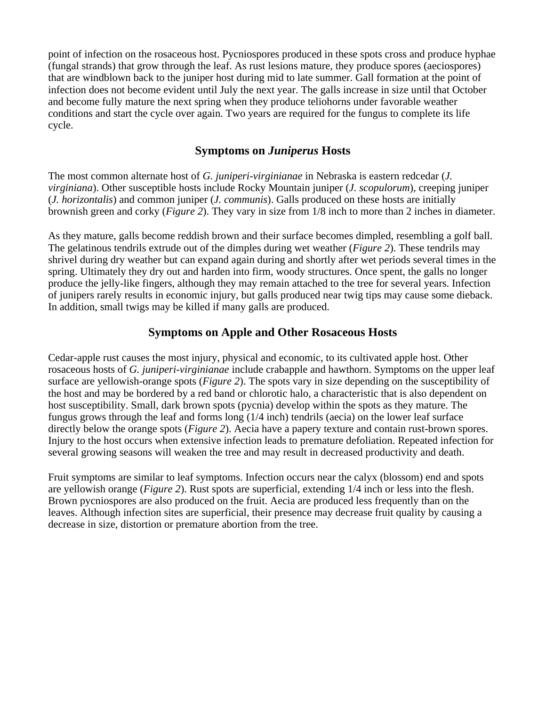point of infection on the rosaceous host. Pycniospores produced in these spots cross and produce hyphae (fungal strands) that grow through the leaf. As rust lesions mature, they produce spores (aeciospores) that are windblown back to the juniper host during mid to late summer. Gall formation at the point of infection does not become evident until July the next year. The galls increase in size until that October and become fully mature the next spring when they produce teliohorns under favorable weather conditions and start the cycle over again. Two years are required for the fungus to complete its life cycle.

#### **Symptoms on** *Juniperus* **Hosts**

The most common alternate host of *G. juniperi-virginianae* in Nebraska is eastern redcedar (*J. virginiana*). Other susceptible hosts include Rocky Mountain juniper (*J. scopulorum*), creeping juniper (*J. horizontalis*) and common juniper (*J. communis*). Galls produced on these hosts are initially brownish green and corky (*Figure 2*). They vary in size from 1/8 inch to more than 2 inches in diameter.

As they mature, galls become reddish brown and their surface becomes dimpled, resembling a golf ball. The gelatinous tendrils extrude out of the dimples during wet weather (*Figure 2*). These tendrils may shrivel during dry weather but can expand again during and shortly after wet periods several times in the spring. Ultimately they dry out and harden into firm, woody structures. Once spent, the galls no longer produce the jelly-like fingers, although they may remain attached to the tree for several years. Infection of junipers rarely results in economic injury, but galls produced near twig tips may cause some dieback. In addition, small twigs may be killed if many galls are produced.

#### **Symptoms on Apple and Other Rosaceous Hosts**

Cedar-apple rust causes the most injury, physical and economic, to its cultivated apple host. Other rosaceous hosts of *G. juniperi-virginianae* include crabapple and hawthorn. Symptoms on the upper leaf surface are yellowish-orange spots (*Figure 2*). The spots vary in size depending on the susceptibility of the host and may be bordered by a red band or chlorotic halo, a characteristic that is also dependent on host susceptibility. Small, dark brown spots (pycnia) develop within the spots as they mature. The fungus grows through the leaf and forms long (1/4 inch) tendrils (aecia) on the lower leaf surface directly below the orange spots (*Figure 2*). Aecia have a papery texture and contain rust-brown spores. Injury to the host occurs when extensive infection leads to premature defoliation. Repeated infection for several growing seasons will weaken the tree and may result in decreased productivity and death.

Fruit symptoms are similar to leaf symptoms. Infection occurs near the calyx (blossom) end and spots are yellowish orange (*Figure 2*). Rust spots are superficial, extending 1/4 inch or less into the flesh. Brown pycniospores are also produced on the fruit. Aecia are produced less frequently than on the leaves. Although infection sites are superficial, their presence may decrease fruit quality by causing a decrease in size, distortion or premature abortion from the tree.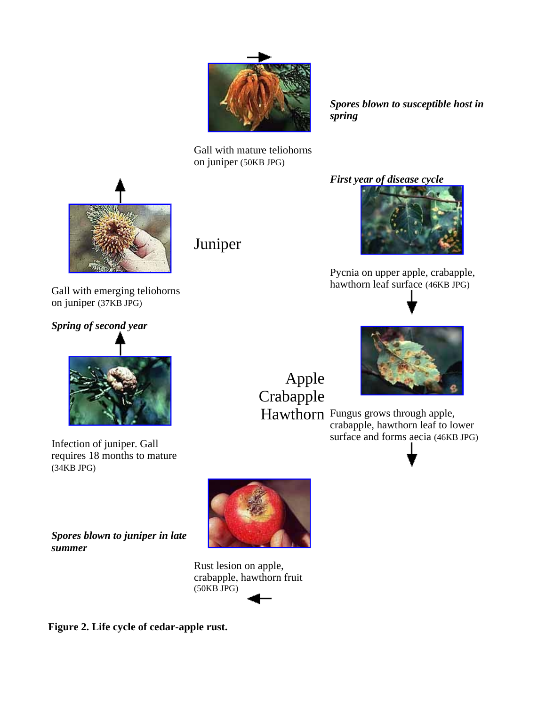

*Spores blown to susceptible host in spring*

Gall with mature teliohorns on juniper (50KB JPG)



Gall with emerging teliohorns

Juniper

#### *First year of disease cycle*



Pycnia on upper apple, crabapple, hawthorn leaf surface (46KB JPG)



on juniper (37KB JPG)



Infection of juniper. Gall requires 18 months to mature (34KB JPG)

*Spores blown to juniper in late* 

*summer*

Apple Crabapple



Hawthorn Fungus grows through apple, crabapple, hawthorn leaf to lower surface and forms aecia (46KB JPG)



Rust lesion on apple, crabapple, hawthorn fruit (50KB JPG)

**Figure 2. Life cycle of cedar-apple rust.**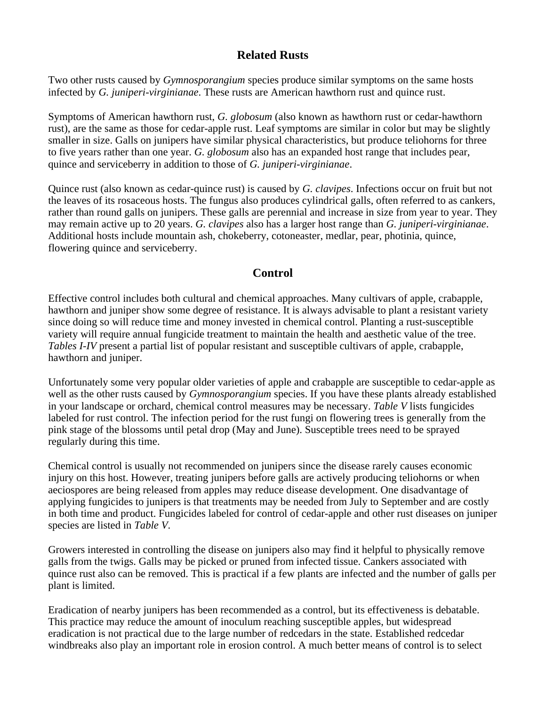#### **Related Rusts**

Two other rusts caused by *Gymnosporangium* species produce similar symptoms on the same hosts infected by *G. juniperi-virginianae*. These rusts are American hawthorn rust and quince rust.

Symptoms of American hawthorn rust, *G. globosum* (also known as hawthorn rust or cedar-hawthorn rust), are the same as those for cedar-apple rust. Leaf symptoms are similar in color but may be slightly smaller in size. Galls on junipers have similar physical characteristics, but produce teliohorns for three to five years rather than one year. *G. globosum* also has an expanded host range that includes pear, quince and serviceberry in addition to those of *G. juniperi-virginianae*.

Quince rust (also known as cedar-quince rust) is caused by *G. clavipes*. Infections occur on fruit but not the leaves of its rosaceous hosts. The fungus also produces cylindrical galls, often referred to as cankers, rather than round galls on junipers. These galls are perennial and increase in size from year to year. They may remain active up to 20 years. *G. clavipes* also has a larger host range than *G. juniperi-virginianae*. Additional hosts include mountain ash, chokeberry, cotoneaster, medlar, pear, photinia, quince, flowering quince and serviceberry.

#### **Control**

Effective control includes both cultural and chemical approaches. Many cultivars of apple, crabapple, hawthorn and juniper show some degree of resistance. It is always advisable to plant a resistant variety since doing so will reduce time and money invested in chemical control. Planting a rust-susceptible variety will require annual fungicide treatment to maintain the health and aesthetic value of the tree. *Tables I-IV* present a partial list of popular resistant and susceptible cultivars of apple, crabapple, hawthorn and juniper.

Unfortunately some very popular older varieties of apple and crabapple are susceptible to cedar-apple as well as the other rusts caused by *Gymnosporangium* species. If you have these plants already established in your landscape or orchard, chemical control measures may be necessary. *Table V* lists fungicides labeled for rust control. The infection period for the rust fungi on flowering trees is generally from the pink stage of the blossoms until petal drop (May and June). Susceptible trees need to be sprayed regularly during this time.

Chemical control is usually not recommended on junipers since the disease rarely causes economic injury on this host. However, treating junipers before galls are actively producing teliohorns or when aeciospores are being released from apples may reduce disease development. One disadvantage of applying fungicides to junipers is that treatments may be needed from July to September and are costly in both time and product. Fungicides labeled for control of cedar-apple and other rust diseases on juniper species are listed in *Table V*.

Growers interested in controlling the disease on junipers also may find it helpful to physically remove galls from the twigs. Galls may be picked or pruned from infected tissue. Cankers associated with quince rust also can be removed. This is practical if a few plants are infected and the number of galls per plant is limited.

Eradication of nearby junipers has been recommended as a control, but its effectiveness is debatable. This practice may reduce the amount of inoculum reaching susceptible apples, but widespread eradication is not practical due to the large number of redcedars in the state. Established redcedar windbreaks also play an important role in erosion control. A much better means of control is to select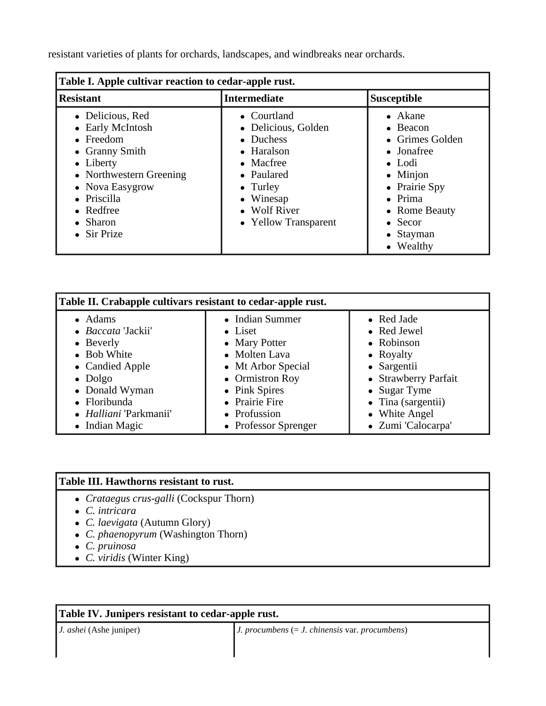resistant varieties of plants for orchards, landscapes, and windbreaks near orchards.

| Table I. Apple cultivar reaction to cedar-apple rust.                                                                                                                                                    |                                                                                                                                                                           |                                                                                                                                                                                                                      |  |
|----------------------------------------------------------------------------------------------------------------------------------------------------------------------------------------------------------|---------------------------------------------------------------------------------------------------------------------------------------------------------------------------|----------------------------------------------------------------------------------------------------------------------------------------------------------------------------------------------------------------------|--|
| <b>Resistant</b>                                                                                                                                                                                         | <b>Intermediate</b>                                                                                                                                                       | <b>Susceptible</b>                                                                                                                                                                                                   |  |
| • Delicious, Red<br>• Early McIntosh<br>$\bullet$ Freedom<br>• Granny Smith<br>• Liberty<br>• Northwestern Greening<br>• Nova Easygrow<br>• Priscilla<br>$\bullet$ Redfree<br>Sharon<br><b>Sir Prize</b> | • Courtland<br>• Delicious, Golden<br>$\bullet$ Duchess<br>• Haralson<br>• Macfree<br>• Paulared<br>$\bullet$ Turley<br>• Winesap<br>• Wolf River<br>• Yellow Transparent | • Akane<br>$\bullet$ Beacon<br>• Grimes Golden<br>$\bullet$ Jonafree<br>$\bullet$ Lodi<br>$\bullet$ Minjon<br>• Prairie Spy<br>$\bullet$ Prima<br>• Rome Beauty<br>$\bullet$ Secor<br>$\bullet$ Stayman<br>• Wealthy |  |

| Table II. Crabapple cultivars resistant to cedar-apple rust. |                      |                            |  |
|--------------------------------------------------------------|----------------------|----------------------------|--|
| • Adams                                                      | • Indian Summer      | • Red Jade                 |  |
| • Baccata 'Jackii'                                           | • Liset              | • Red Jewel                |  |
| • Beverly                                                    | • Mary Potter        | • Robinson                 |  |
| • Bob White                                                  | • Molten Lava        | • Royalty                  |  |
| • Candied Apple                                              | • Mt Arbor Special   | • Sargentii                |  |
| $\bullet$ Dolgo                                              | • Ormistron Roy      | • Strawberry Parfait       |  |
| • Donald Wyman                                               | • Pink Spires        | • Sugar Tyme               |  |
| • Floribunda                                                 | • Prairie Fire       | $\bullet$ Tina (sargentii) |  |
| • Halliani 'Parkmanii'                                       | • Profussion         | • White Angel              |  |
| $\bullet$ Indian Magic                                       | • Professor Sprenger | • Zumi 'Calocarpa'         |  |

#### **Table III. Hawthorns resistant to rust.**

- <sup>z</sup> *Crataegus crus-galli* (Cockspur Thorn)
- <sup>z</sup> *C. intricara*
- <sup>z</sup> *C. laevigata* (Autumn Glory)
- *C. phaenopyrum* (Washington Thorn)
- <sup>z</sup> *C. pruinosa*
- <sup>z</sup> *C. viridis* (Winter King)

| Table IV. Junipers resistant to cedar-apple rust. |                                                         |  |
|---------------------------------------------------|---------------------------------------------------------|--|
| <i>J. ashei</i> (Ashe juniper)                    | <i>J. procumbens</i> $(= J. chinensis var. procumbens)$ |  |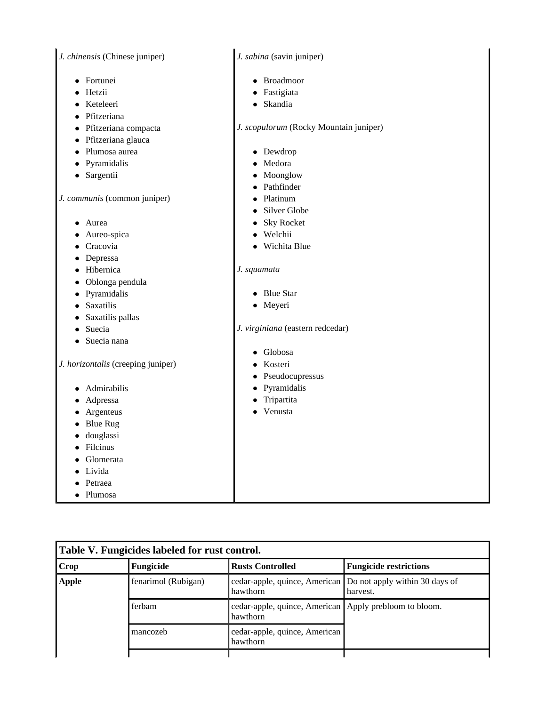| J. chinensis (Chinese juniper) |  |  |
|--------------------------------|--|--|
|                                |  |  |

- Fortunei
- Hetzii
- Keteleeri
- Pfitzeriana
- Pfitzeriana compacta
- Pfitzeriana glauca
- Plumosa aurea
- Pyramidalis
- Sargentii

*J. communis* (common juniper)

- Aurea
- Aureo-spica
- Cracovia
- Depressa
- Hibernica
- Oblonga pendula
- Pyramidalis
- Saxatilis
- Saxatilis pallas
- $\bullet$  Suecia
- Suecia nana

*J. horizontalis* (creeping juniper)

- Admirabilis
- Adpressa
- Argenteus
- Blue Rug
- $\bullet$  douglassi
- Filcinus
- Glomerata
- Livida
- Petraea
- Plumosa

*J. sabina* (savin juniper)

- Broadmoor
- Fastigiata
- Skandia

*J. scopulorum* (Rocky Mountain juniper)

- $\bullet$  Dewdrop
- $\bullet$  Medora
- Moonglow
- Pathfinder
- Platinum
- Silver Globe
- Sky Rocket
- Welchii
- Wichita Blue

#### *J. squamata*

- Blue Star
- Meyeri

*J. virginiana* (eastern redcedar)

- Globosa
- Kosteri
- $\bullet$  Pseudocupressus
- Pyramidalis
- Tripartita
- Venusta

| Table V. Fungicides labeled for rust control. |                     |                                                                      |                                                                          |
|-----------------------------------------------|---------------------|----------------------------------------------------------------------|--------------------------------------------------------------------------|
| <b>Crop</b>                                   | Fungicide           | <b>Rusts Controlled</b>                                              | <b>Fungicide restrictions</b>                                            |
| <b>Apple</b>                                  | fenarimol (Rubigan) | hawthorn                                                             | cedar-apple, quince, American Do not apply within 30 days of<br>harvest. |
|                                               | ferbam              | cedar-apple, quince, American   Apply prebloom to bloom.<br>hawthorn |                                                                          |
|                                               | mancozeb            | cedar-apple, quince, American<br>hawthorn                            |                                                                          |
|                                               |                     |                                                                      |                                                                          |